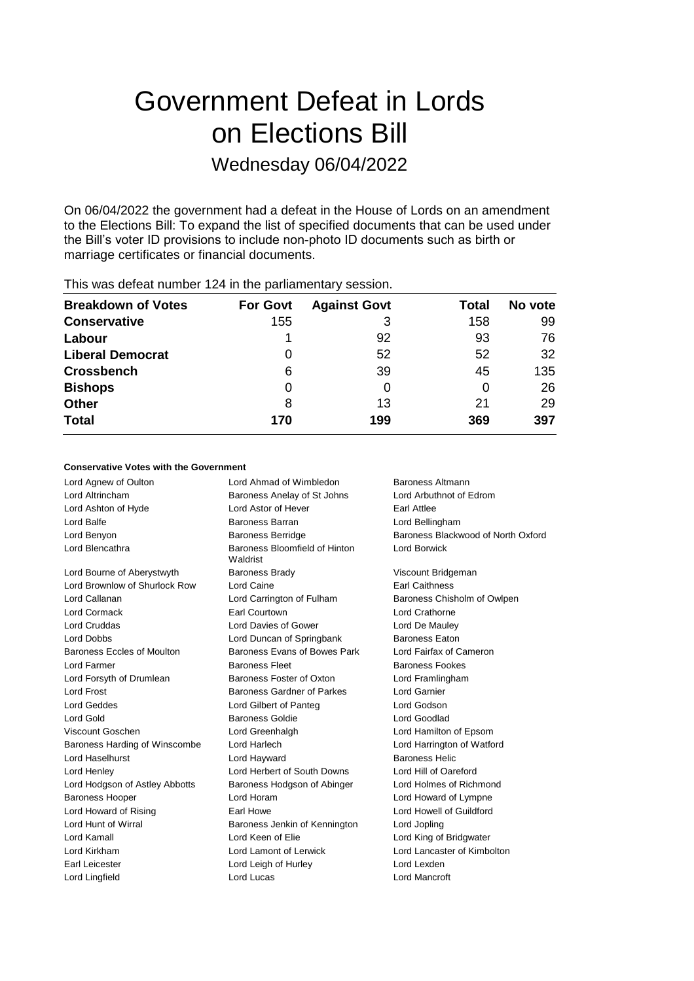# Government Defeat in Lords on Elections Bill Wednesday 06/04/2022

On 06/04/2022 the government had a defeat in the House of Lords on an amendment to the Elections Bill: To expand the list of specified documents that can be used under the Bill's voter ID provisions to include non-photo ID documents such as birth or marriage certificates or financial documents.

| <b>For Govt</b> | <b>Against Govt</b> | Total | No vote |
|-----------------|---------------------|-------|---------|
| 155             | 3                   | 158   | 99      |
|                 | 92                  | 93    | 76      |
| $\Omega$        | 52                  | 52    | 32      |
| 6               | 39                  | 45    | 135     |
| 0               | 0                   |       | 26      |
| 8               | 13                  | 21    | 29      |
| 170             | 199                 | 369   | 397     |
|                 |                     |       |         |

# This was defeat number 124 in the parliamentary session.

# **Conservative Votes with the Government**

| Lord Agnew of Oulton           | Lord Ahmad of Wimbledon                   | <b>Baroness Altmann</b>            |
|--------------------------------|-------------------------------------------|------------------------------------|
| Lord Altrincham                | Baroness Anelay of St Johns               | Lord Arbuthnot of Edrom            |
| Lord Ashton of Hyde            | Lord Astor of Hever                       | Earl Attlee                        |
| Lord Balfe                     | Baroness Barran                           | Lord Bellingham                    |
| Lord Benyon                    | <b>Baroness Berridge</b>                  | Baroness Blackwood of North Oxford |
| Lord Blencathra                | Baroness Bloomfield of Hinton<br>Waldrist | Lord Borwick                       |
| Lord Bourne of Aberystwyth     | <b>Baroness Brady</b>                     | Viscount Bridgeman                 |
| Lord Brownlow of Shurlock Row  | Lord Caine                                | <b>Farl Caithness</b>              |
| Lord Callanan                  | Lord Carrington of Fulham                 | Baroness Chisholm of Owlpen        |
| Lord Cormack                   | Earl Courtown                             | Lord Crathorne                     |
| Lord Cruddas                   | Lord Davies of Gower                      | Lord De Mauley                     |
| <b>Lord Dobbs</b>              | Lord Duncan of Springbank                 | <b>Baroness Eaton</b>              |
| Baroness Eccles of Moulton     | Baroness Evans of Bowes Park              | Lord Fairfax of Cameron            |
| Lord Farmer                    | <b>Baroness Fleet</b>                     | <b>Baroness Fookes</b>             |
| Lord Forsyth of Drumlean       | Baroness Foster of Oxton                  | Lord Framlingham                   |
| Lord Frost                     | Baroness Gardner of Parkes                | Lord Garnier                       |
| <b>Lord Geddes</b>             | Lord Gilbert of Panteg                    | Lord Godson                        |
| Lord Gold                      | <b>Baroness Goldie</b>                    | Lord Goodlad                       |
| Viscount Goschen               | Lord Greenhalgh                           | Lord Hamilton of Epsom             |
| Baroness Harding of Winscombe  | Lord Harlech                              | Lord Harrington of Watford         |
| Lord Haselhurst                | Lord Hayward                              | <b>Baroness Helic</b>              |
| Lord Henley                    | Lord Herbert of South Downs               | Lord Hill of Oareford              |
| Lord Hodgson of Astley Abbotts | Baroness Hodgson of Abinger               | Lord Holmes of Richmond            |
| <b>Baroness Hooper</b>         | Lord Horam                                | Lord Howard of Lympne              |
| Lord Howard of Rising          | Earl Howe                                 | Lord Howell of Guildford           |
| Lord Hunt of Wirral            | Baroness Jenkin of Kennington             | Lord Jopling                       |
| Lord Kamall                    | Lord Keen of Elie                         | Lord King of Bridgwater            |
| Lord Kirkham                   | Lord Lamont of Lerwick                    | Lord Lancaster of Kimbolton        |
| Earl Leicester                 | Lord Leigh of Hurley                      | Lord Lexden                        |
| Lord Lingfield                 | Lord Lucas                                | Lord Mancroft                      |
|                                |                                           |                                    |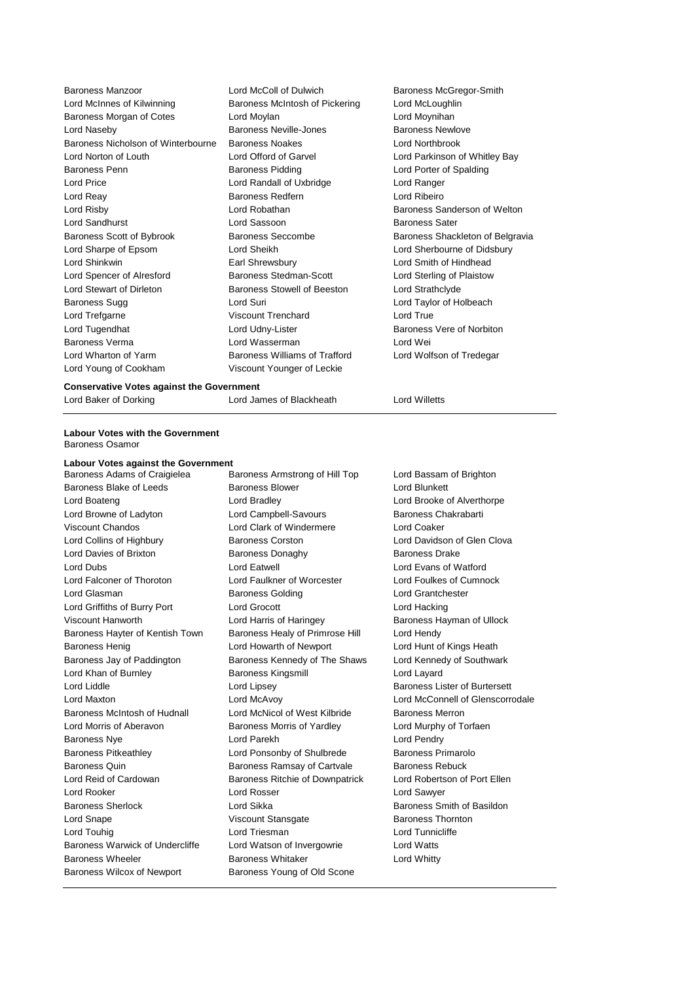| <b>Baroness Manzoor</b>            | Lord McColl of Dulwich               | <b>Baroness</b>    |
|------------------------------------|--------------------------------------|--------------------|
| Lord McInnes of Kilwinning         | Baroness McIntosh of Pickering       | Lord McLo          |
| Baroness Morgan of Cotes           | Lord Moylan                          | Lord Moyr          |
| Lord Naseby                        | <b>Baroness Neville-Jones</b>        | <b>Baroness</b>    |
| Baroness Nicholson of Winterbourne | <b>Baroness Noakes</b>               | <b>Lord North</b>  |
| Lord Norton of Louth               | Lord Offord of Garvel                | <b>Lord Parki</b>  |
| <b>Baroness Penn</b>               | <b>Baroness Pidding</b>              | Lord Porte         |
| <b>Lord Price</b>                  | Lord Randall of Uxbridge             | Lord Rang          |
| Lord Reay                          | <b>Baroness Redfern</b>              | Lord Ribei         |
| Lord Risby                         | Lord Robathan                        | <b>Baroness</b>    |
| Lord Sandhurst                     | Lord Sassoon                         | <b>Baroness</b>    |
| Baroness Scott of Bybrook          | <b>Baroness Seccombe</b>             | <b>Baroness</b>    |
| Lord Sharpe of Epsom               | Lord Sheikh                          | Lord Sherl         |
| Lord Shinkwin                      | Earl Shrewsbury                      | Lord Smith         |
| Lord Spencer of Alresford          | <b>Baroness Stedman-Scott</b>        | <b>Lord Sterli</b> |
| Lord Stewart of Dirleton           | Baroness Stowell of Beeston          | Lord Strat         |
| Baroness Sugg                      | Lord Suri                            | Lord Taylo         |
| Lord Trefgarne                     | <b>Viscount Trenchard</b>            | Lord True          |
| Lord Tugendhat                     | Lord Udny-Lister                     | <b>Baroness</b>    |
| <b>Baroness Verma</b>              | Lord Wasserman                       | Lord Wei           |
| Lord Wharton of Yarm               | <b>Baroness Williams of Trafford</b> | Lord Wolfs         |
| Lord Young of Cookham              | Viscount Younger of Leckie           |                    |
|                                    |                                      |                    |

Baroness McGregor-Smith Lord McLoughlin Lord Moynihan Baroness Newlove Lord Northbrook Lord Parkinson of Whitley Bay Lord Porter of Spalding Lord Ranger Lord Ribeiro Baroness Sanderson of Welton Baroness Sater Baroness Shackleton of Belgravia Lord Sherbourne of Didsbury Lord Smith of Hindhead Lord Sterling of Plaistow Lord Strathclyde Lord Taylor of Holbeach Baroness Vere of Norbiton Lord Wolfson of Tredegar

# **Conservative Votes against the Government**

Lord Baker of Dorking Lord James of Blackheath Lord Willetts

# **Labour Votes with the Government** Baroness Osamor

### **Labour Votes against the Government**

Baroness Blake of Leeds Baroness Blower Baroness Blower Lord Blunkett Lord Boateng Lord Bradley Lord Brooke of Alverthorpe Lord Browne of Ladyton **Lord Campbell-Savours** Baroness Chakrabarti Viscount Chandos Lord Clark of Windermere Lord Coaker Lord Collins of Highbury Baroness Corston Lord Davidson of Glen Clova Lord Davies of Brixton **Baroness Donaghy** Baroness Davies Drake Lord Dubs Lord Eatwell Lord Evans of Watford Lord Falconer of Thoroton Lord Faulkner of Worcester Lord Foulkes of Cumnock Lord Glasman **Baroness Golding** Lord Grantchester Lord Griffiths of Burry Port Lord Grocott Lord Hacking Viscount Hanworth **Lord Harris of Haringey** Baroness Hayman of Ullock Baroness Hayter of Kentish Town Baroness Healy of Primrose Hill Lord Hendy Baroness Henig **Lord Howarth of Newport** Lord Hunt of Kings Heath Baroness Jay of Paddington Baroness Kennedy of The Shaws Lord Kennedy of Southwark Lord Khan of Burnley **Baroness Kingsmill** Cord Layard Lord Layard Lord Liddle Lord Lipsey Baroness Lister of Burtersett Baroness McIntosh of Hudnall Lord McNicol of West Kilbride Baroness Merron Lord Morris of Aberavon Baroness Morris of Yardley Lord Murphy of Torfaen Baroness Nye Lord Parekh Lord Pendry Baroness Pitkeathley Lord Ponsonby of Shulbrede Baroness Primarolo Baroness Quin **Baroness Ramsay of Cartvale** Baroness Rebuck Lord Reid of Cardowan **Baroness Ritchie of Downpatrick** Lord Robertson of Port Ellen Lord Rooker Lord Rosser Lord Sawyer Baroness Sherlock Lord Sikka Baroness Smith of Basildon Lord Snape **Viscount Stansgate** Baroness Thornton Lord Touhig **Lord Triesman** Lord Triesman Lord Tunnicliffe Baroness Warwick of Undercliffe Lord Watson of Invergowrie Lord Watts Baroness Wheeler **Baroness Whitaker** Lord Whitty Baroness Wilcox of Newport Baroness Young of Old Scone

Baroness Adams of Craigielea Baroness Armstrong of Hill Top Lord Bassam of Brighton

Lord Maxton Lord McAvoy Lord McConnell of Glenscorrodale